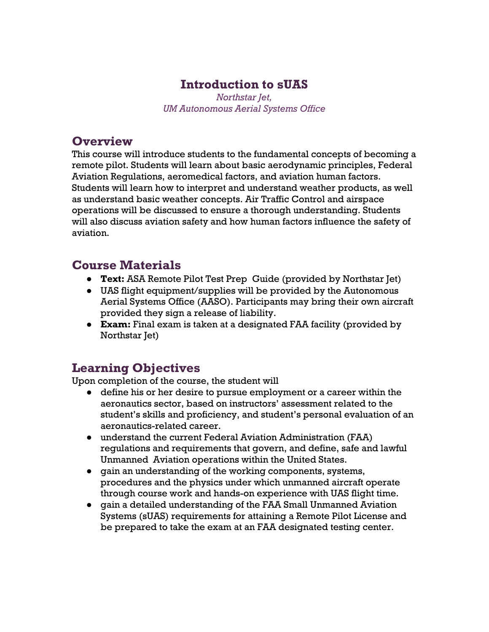# **Introduction to sUAS**

*Northstar Jet, UM Autonomous Aerial Systems Office*

## **Overview**

This course will introduce students to the fundamental concepts of becoming a remote pilot. Students will learn about basic aerodynamic principles, Federal Aviation Regulations, aeromedical factors, and aviation human factors. Students will learn how to interpret and understand weather products, as well as understand basic weather concepts. Air Traffic Control and airspace operations will be discussed to ensure a thorough understanding. Students will also discuss aviation safety and how human factors influence the safety of aviation.

### **Course Materials**

- **Text:** ASA Remote Pilot Test Prep Guide (provided by Northstar Jet)
- UAS flight equipment/supplies will be provided by the Autonomous Aerial Systems Office (AASO). Participants may bring their own aircraft provided they sign a release of liability.
- **Exam:** Final exam is taken at a designated FAA facility (provided by Northstar Jet)

# **Learning Objectives**

Upon completion of the course, the student will

- define his or her desire to pursue employment or a career within the aeronautics sector, based on instructors' assessment related to the student's skills and proficiency, and student's personal evaluation of an aeronautics-related career.
- understand the current Federal Aviation Administration (FAA) regulations and requirements that govern, and define, safe and lawful Unmanned Aviation operations within the United States.
- gain an understanding of the working components, systems, procedures and the physics under which unmanned aircraft operate through course work and hands-on experience with UAS flight time.
- gain a detailed understanding of the FAA Small Unmanned Aviation Systems (sUAS) requirements for attaining a Remote Pilot License and be prepared to take the exam at an FAA designated testing center.